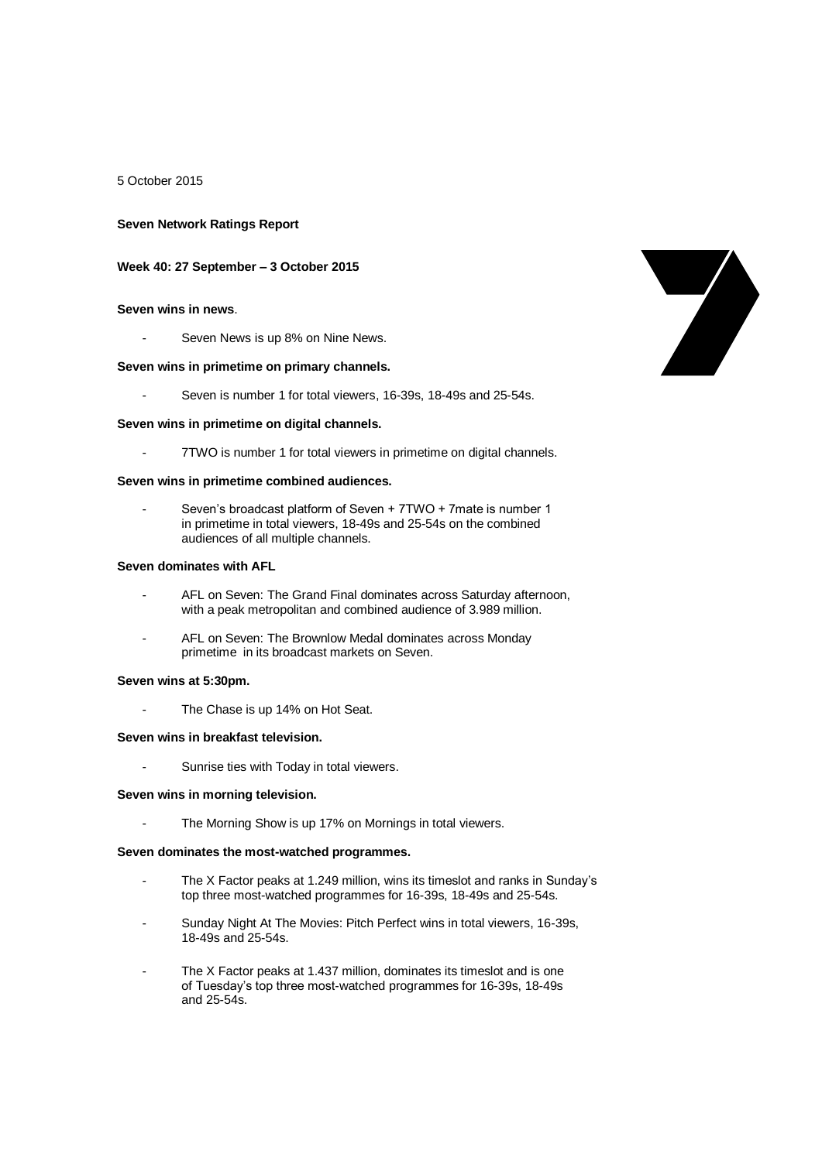#### 5 October 2015

#### **Seven Network Ratings Report**

#### **Week 40: 27 September – 3 October 2015**

#### **Seven wins in news**.

Seven News is up 8% on Nine News.

#### **Seven wins in primetime on primary channels.**

Seven is number 1 for total viewers, 16-39s, 18-49s and 25-54s.

#### **Seven wins in primetime on digital channels.**

7TWO is number 1 for total viewers in primetime on digital channels.

#### **Seven wins in primetime combined audiences.**

Seven's broadcast platform of Seven + 7TWO + 7mate is number 1 in primetime in total viewers, 18-49s and 25-54s on the combined audiences of all multiple channels.

#### **Seven dominates with AFL**

- AFL on Seven: The Grand Final dominates across Saturday afternoon, with a peak metropolitan and combined audience of 3.989 million.
- AFL on Seven: The Brownlow Medal dominates across Monday primetime in its broadcast markets on Seven.

#### **Seven wins at 5:30pm.**

The Chase is up 14% on Hot Seat.

#### **Seven wins in breakfast television.**

Sunrise ties with Today in total viewers.

#### **Seven wins in morning television.**

- The Morning Show is up 17% on Mornings in total viewers.

#### **Seven dominates the most-watched programmes.**

- The X Factor peaks at 1.249 million, wins its timeslot and ranks in Sunday's top three most-watched programmes for 16-39s, 18-49s and 25-54s.
- Sunday Night At The Movies: Pitch Perfect wins in total viewers, 16-39s, 18-49s and 25-54s.
- The X Factor peaks at 1.437 million, dominates its timeslot and is one of Tuesday's top three most-watched programmes for 16-39s, 18-49s and 25-54s.

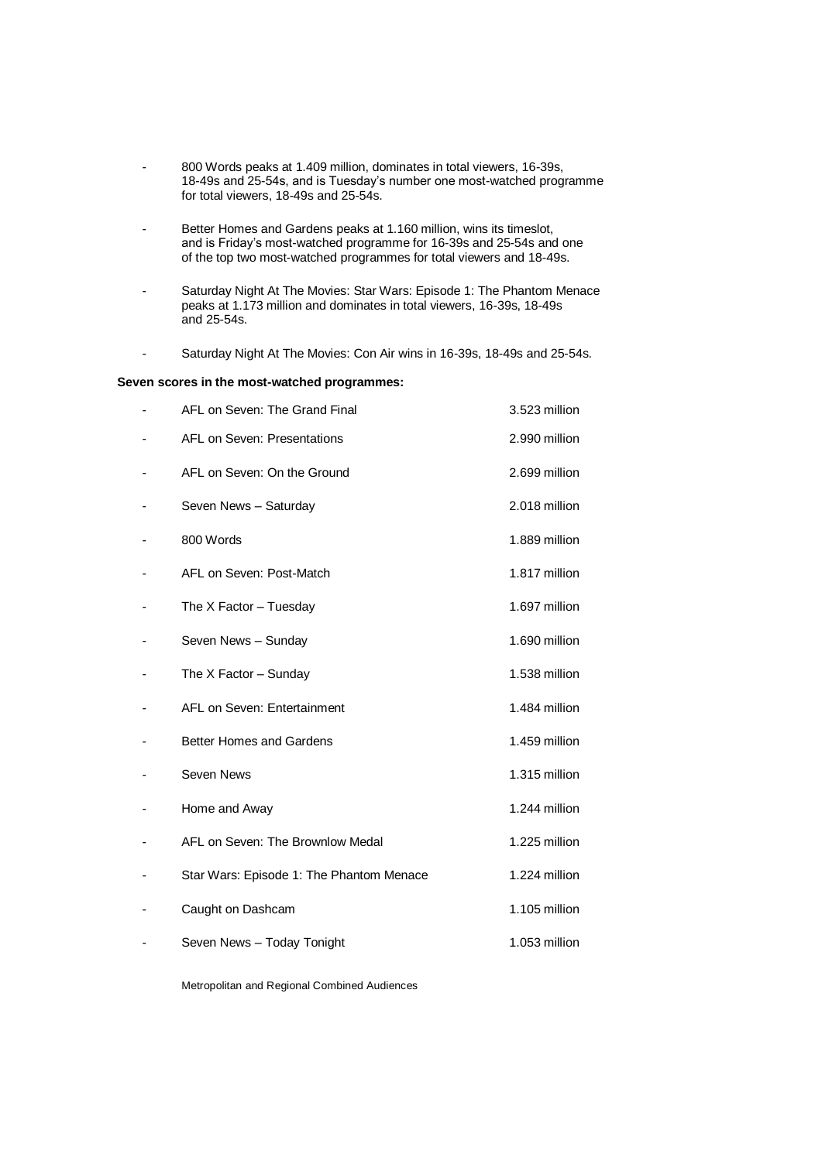- 800 Words peaks at 1.409 million, dominates in total viewers, 16-39s, 18-49s and 25-54s, and is Tuesday's number one most-watched programme for total viewers, 18-49s and 25-54s.
- Better Homes and Gardens peaks at 1.160 million, wins its timeslot, and is Friday's most-watched programme for 16-39s and 25-54s and one of the top two most-watched programmes for total viewers and 18-49s.
- Saturday Night At The Movies: Star Wars: Episode 1: The Phantom Menace peaks at 1.173 million and dominates in total viewers, 16-39s, 18-49s and 25-54s.
- Saturday Night At The Movies: Con Air wins in 16-39s, 18-49s and 25-54s.

#### **Seven scores in the most-watched programmes:**

| AFL on Seven: The Grand Final            | 3.523 million |
|------------------------------------------|---------------|
| AFL on Seven: Presentations              | 2.990 million |
| AFL on Seven: On the Ground              | 2.699 million |
| Seven News - Saturday                    | 2.018 million |
| 800 Words                                | 1.889 million |
| AFL on Seven: Post-Match                 | 1.817 million |
| The X Factor - Tuesday                   | 1.697 million |
| Seven News - Sunday                      | 1.690 million |
| The $X$ Factor – Sunday                  | 1.538 million |
| AFL on Seven: Entertainment              | 1.484 million |
| <b>Better Homes and Gardens</b>          | 1.459 million |
| Seven News                               | 1.315 million |
| Home and Away                            | 1.244 million |
| AFL on Seven: The Brownlow Medal         | 1.225 million |
| Star Wars: Episode 1: The Phantom Menace | 1.224 million |
| Caught on Dashcam                        | 1.105 million |
| Seven News - Today Tonight               | 1.053 million |

Metropolitan and Regional Combined Audiences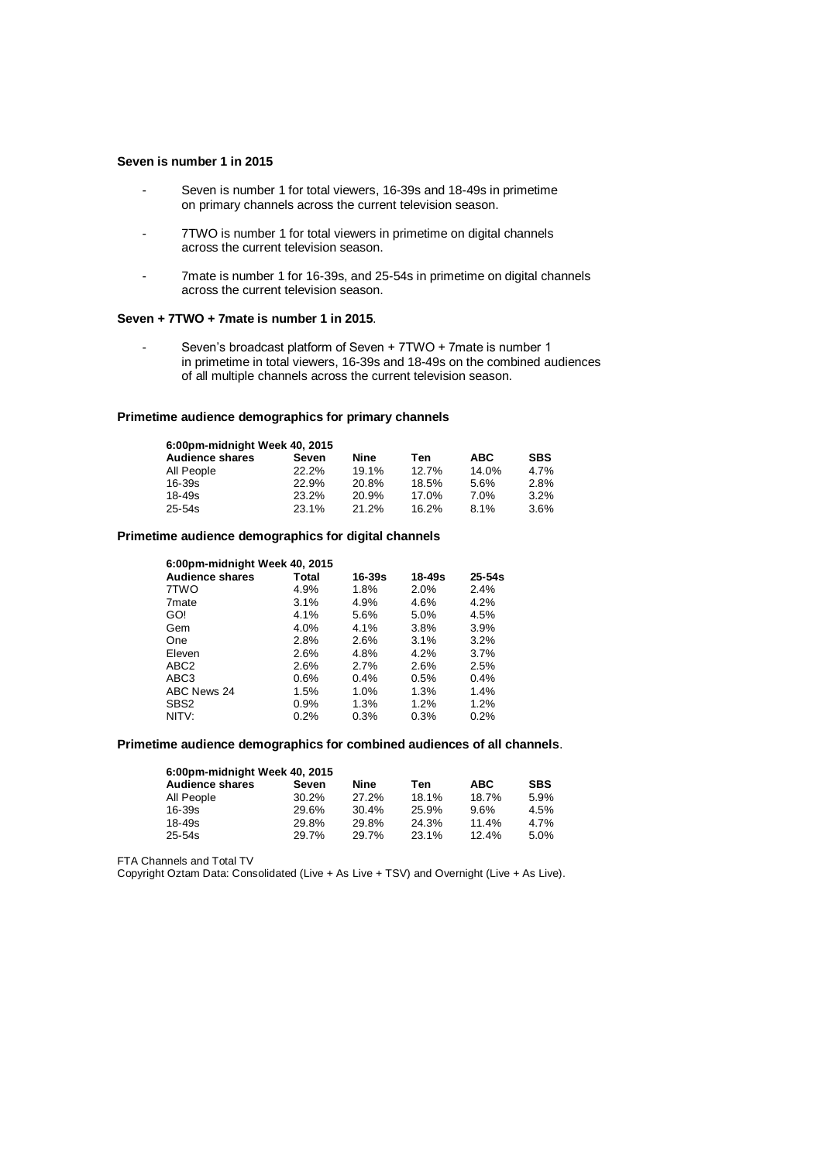#### **Seven is number 1 in 2015**

- Seven is number 1 for total viewers, 16-39s and 18-49s in primetime on primary channels across the current television season.
- 7TWO is number 1 for total viewers in primetime on digital channels across the current television season.
- 7mate is number 1 for 16-39s, and 25-54s in primetime on digital channels across the current television season.

#### **Seven + 7TWO + 7mate is number 1 in 2015**.

Seven's broadcast platform of Seven + 7TWO + 7mate is number 1 in primetime in total viewers, 16-39s and 18-49s on the combined audiences of all multiple channels across the current television season.

#### **Primetime audience demographics for primary channels**

| 6:00pm-midnight Week 40, 2015 |       |       |       |            |            |  |  |
|-------------------------------|-------|-------|-------|------------|------------|--|--|
| <b>Audience shares</b>        | Seven | Nine  | Ten   | <b>ABC</b> | <b>SBS</b> |  |  |
| All People                    | 22.2% | 19.1% | 12.7% | 14.0%      | 4.7%       |  |  |
| $16 - 39s$                    | 22.9% | 20.8% | 18.5% | 5.6%       | 2.8%       |  |  |
| 18-49s                        | 23.2% | 20.9% | 17.0% | 7.0%       | 3.2%       |  |  |
| 25-54s                        | 23.1% | 21.2% | 16.2% | 8.1%       | 3.6%       |  |  |

### **Primetime audience demographics for digital channels**

| 6:00pm-midnight Week 40, 2015 |         |        |        |            |  |  |
|-------------------------------|---------|--------|--------|------------|--|--|
| <b>Audience shares</b>        | Total   | 16-39s | 18-49s | $25 - 54s$ |  |  |
| 7TWO                          | 4.9%    | 1.8%   | 2.0%   | 2.4%       |  |  |
| 7 <sub>mate</sub>             | $3.1\%$ | 4.9%   | 4.6%   | 4.2%       |  |  |
| GO!                           | 4.1%    | 5.6%   | 5.0%   | 4.5%       |  |  |
| Gem                           | $4.0\%$ | 4.1%   | 3.8%   | 3.9%       |  |  |
| One                           | 2.8%    | 2.6%   | 3.1%   | 3.2%       |  |  |
| Eleven                        | 2.6%    | 4.8%   | 4.2%   | 3.7%       |  |  |
| ABC <sub>2</sub>              | 2.6%    | 2.7%   | 2.6%   | 2.5%       |  |  |
| ABC3                          | 0.6%    | 0.4%   | 0.5%   | 0.4%       |  |  |
| ABC News 24                   | 1.5%    | 1.0%   | 1.3%   | 1.4%       |  |  |
| SBS <sub>2</sub>              | $0.9\%$ | 1.3%   | 1.2%   | 1.2%       |  |  |
| NITV:                         | 0.2%    | 0.3%   | 0.3%   | 0.2%       |  |  |
|                               |         |        |        |            |  |  |

### **Primetime audience demographics for combined audiences of all channels**.

| 6:00pm-midnight Week 40, 2015 |       |       |       |            |            |  |  |
|-------------------------------|-------|-------|-------|------------|------------|--|--|
| <b>Audience shares</b>        | Seven | Nine  | Ten   | <b>ABC</b> | <b>SBS</b> |  |  |
| All People                    | 30.2% | 27.2% | 18.1% | 18.7%      | 5.9%       |  |  |
| 16-39s                        | 29.6% | 30.4% | 25.9% | 9.6%       | 4.5%       |  |  |
| 18-49s                        | 29.8% | 29.8% | 24.3% | 11.4%      | 4.7%       |  |  |
| 25-54s                        | 29.7% | 29.7% | 23.1% | 12.4%      | 5.0%       |  |  |

FTA Channels and Total TV

Copyright Oztam Data: Consolidated (Live + As Live + TSV) and Overnight (Live + As Live).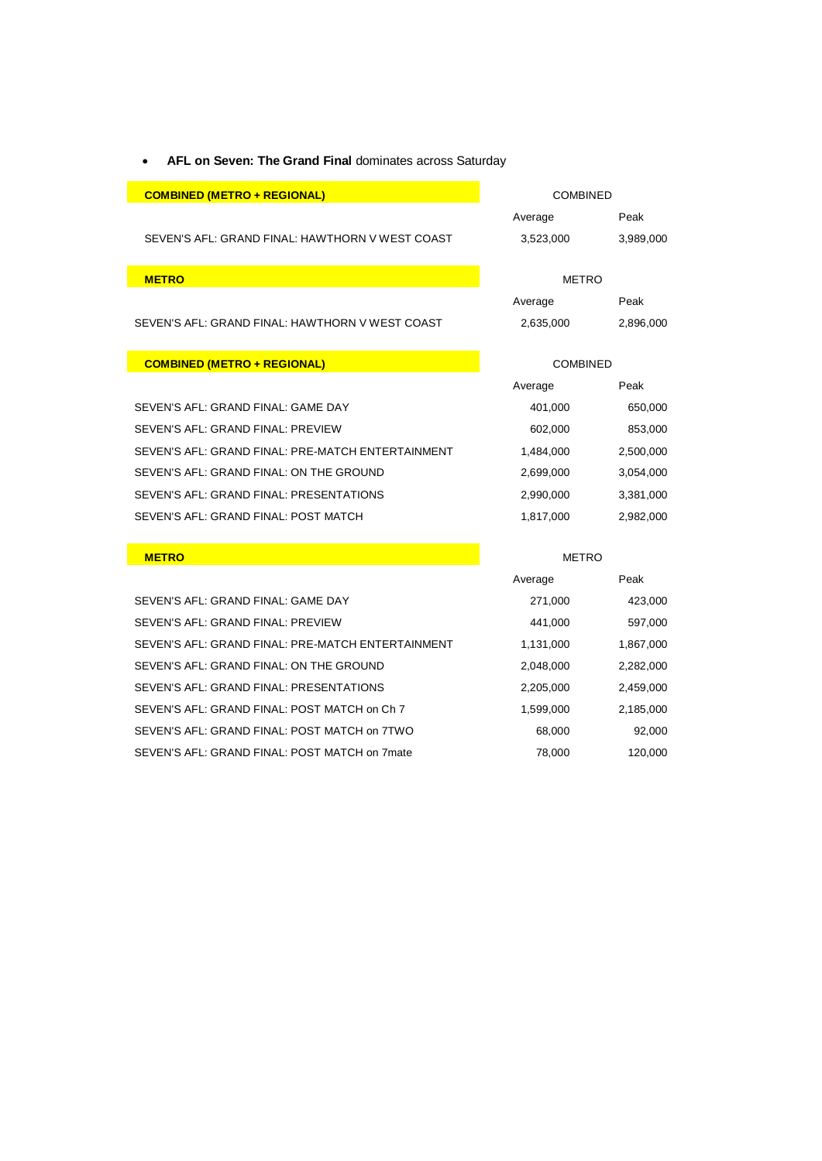# **AFL on Seven: The Grand Final dominates across Saturday**

## **COMBINED (METRO + REGIONAL) COMBINED COMBINED**

SEVEN'S AFL: GRAND FINAL: HAWTHORN V WEST COAST  $3,523,000$   $3,989,000$ 

SEVEN'S AFL: GRAND FINAL: HAWTHORN V WEST COAST 2,635,000 2,896,000

### **COMBINED (METRO + REGIONAL) COMBINED**

| SEVEN'S AFL: GRAND FINAL: GAME DAY                | 401.000   | 650,000   |
|---------------------------------------------------|-----------|-----------|
| SEVEN'S AFL: GRAND FINAL: PREVIEW                 | 602,000   | 853,000   |
| SEVEN'S AFL: GRAND FINAL: PRE-MATCH ENTERTAINMENT | 1.484.000 | 2,500,000 |
| SEVEN'S AFL: GRAND FINAL: ON THE GROUND           | 2,699,000 | 3,054,000 |
| SEVEN'S AFL: GRAND FINAL: PRESENTATIONS           | 2.990.000 | 3,381,000 |
| SEVEN'S AFL: GRAND FINAL: POST MATCH              | 1.817.000 | 2,982,000 |

| SEVEN'S AFL: GRAND FINAL: GAME DAY                | 271,000   | 423,000   |
|---------------------------------------------------|-----------|-----------|
| SEVEN'S AFL: GRAND FINAL: PREVIEW                 | 441,000   | 597,000   |
| SEVEN'S AFL: GRAND FINAL: PRE-MATCH ENTERTAINMENT | 1,131,000 | 1,867,000 |
| SEVEN'S AFL: GRAND FINAL: ON THE GROUND           | 2,048,000 | 2,282,000 |
| SEVEN'S AFL: GRAND FINAL: PRESENTATIONS           | 2,205,000 | 2,459,000 |
| SEVEN'S AFL: GRAND FINAL: POST MATCH on Ch 7      | 1,599,000 | 2,185,000 |
| SEVEN'S AFL: GRAND FINAL: POST MATCH on 7TWO      | 68,000    | 92,000    |
| SEVEN'S AFL: GRAND FINAL: POST MATCH on 7mate     | 78,000    | 120,000   |

# Average Peak

**METRO** METRO Average Peak

| Average   | Peak      |
|-----------|-----------|
| 401,000   | 650,000   |
| 602,000   | 853,000   |
| 1,484,000 | 2,500,000 |
| 2,699,000 | 3,054,000 |
| 2,990,000 | 3,381,000 |
| 1,817,000 | 2,982,000 |

# **METRO** METRO Average Peak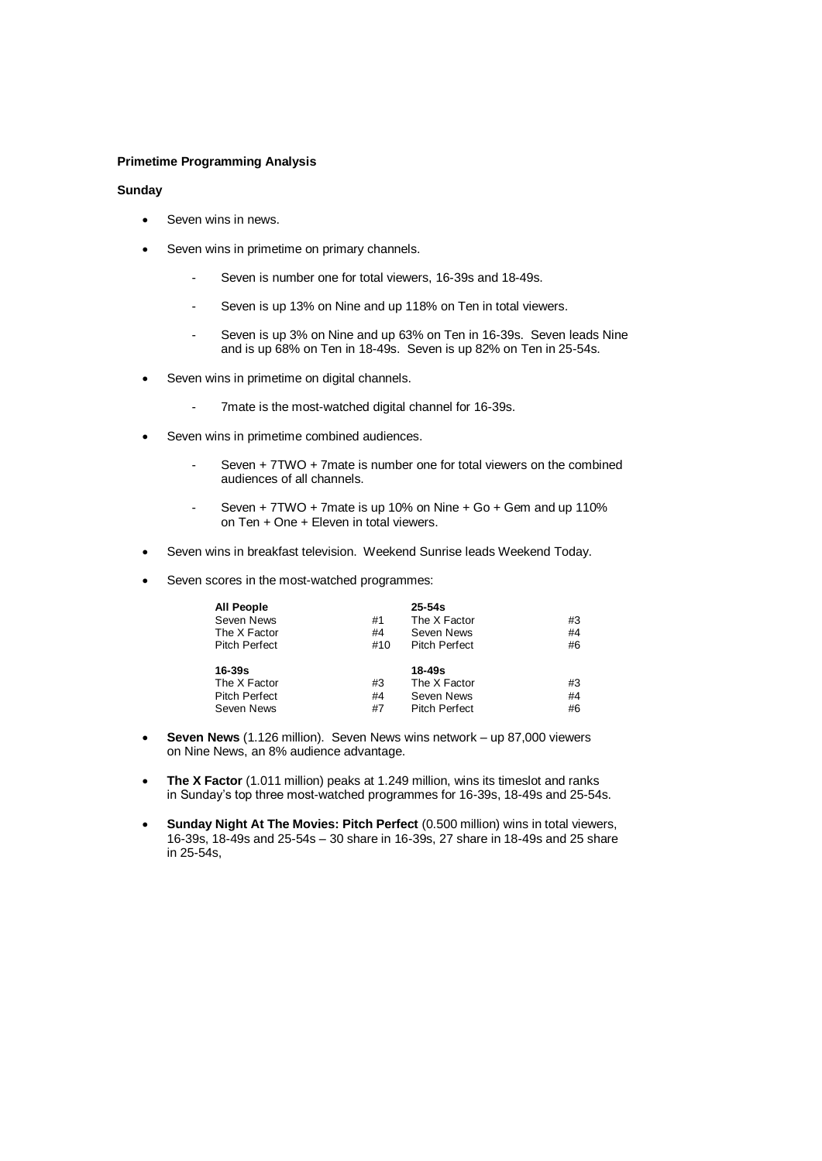#### **Primetime Programming Analysis**

#### **Sunday**

- Seven wins in news.
- Seven wins in primetime on primary channels.
	- Seven is number one for total viewers, 16-39s and 18-49s.
	- Seven is up 13% on Nine and up 118% on Ten in total viewers.
	- Seven is up 3% on Nine and up 63% on Ten in 16-39s. Seven leads Nine and is up 68% on Ten in 18-49s. Seven is up 82% on Ten in 25-54s.
- Seven wins in primetime on digital channels.
	- 7mate is the most-watched digital channel for 16-39s.
- Seven wins in primetime combined audiences.
	- Seven + 7TWO + 7mate is number one for total viewers on the combined audiences of all channels.
	- Seven + 7TWO + 7mate is up 10% on Nine + Go + Gem and up 110% on Ten + One + Eleven in total viewers.
- Seven wins in breakfast television. Weekend Sunrise leads Weekend Today.
- Seven scores in the most-watched programmes:

| <b>All People</b><br>Seven News<br>The X Factor<br><b>Pitch Perfect</b> | #1<br>#4<br>#10 | $25 - 54s$<br>The X Factor<br>Seven News<br><b>Pitch Perfect</b> | #3<br>#4<br>#6 |
|-------------------------------------------------------------------------|-----------------|------------------------------------------------------------------|----------------|
| 16-39s                                                                  |                 | $18 - 49s$                                                       |                |
| The X Factor                                                            | #3              | The X Factor                                                     | #3             |
| <b>Pitch Perfect</b>                                                    | #4              | Seven News                                                       | #4             |
| Seven News                                                              | #7              | <b>Pitch Perfect</b>                                             | #6             |

- **Seven News** (1.126 million). Seven News wins network up 87,000 viewers on Nine News, an 8% audience advantage.
- **The X Factor** (1.011 million) peaks at 1.249 million, wins its timeslot and ranks in Sunday's top three most-watched programmes for 16-39s, 18-49s and 25-54s.
- **Sunday Night At The Movies: Pitch Perfect** (0.500 million) wins in total viewers, 16-39s, 18-49s and 25-54s – 30 share in 16-39s, 27 share in 18-49s and 25 share in 25-54s,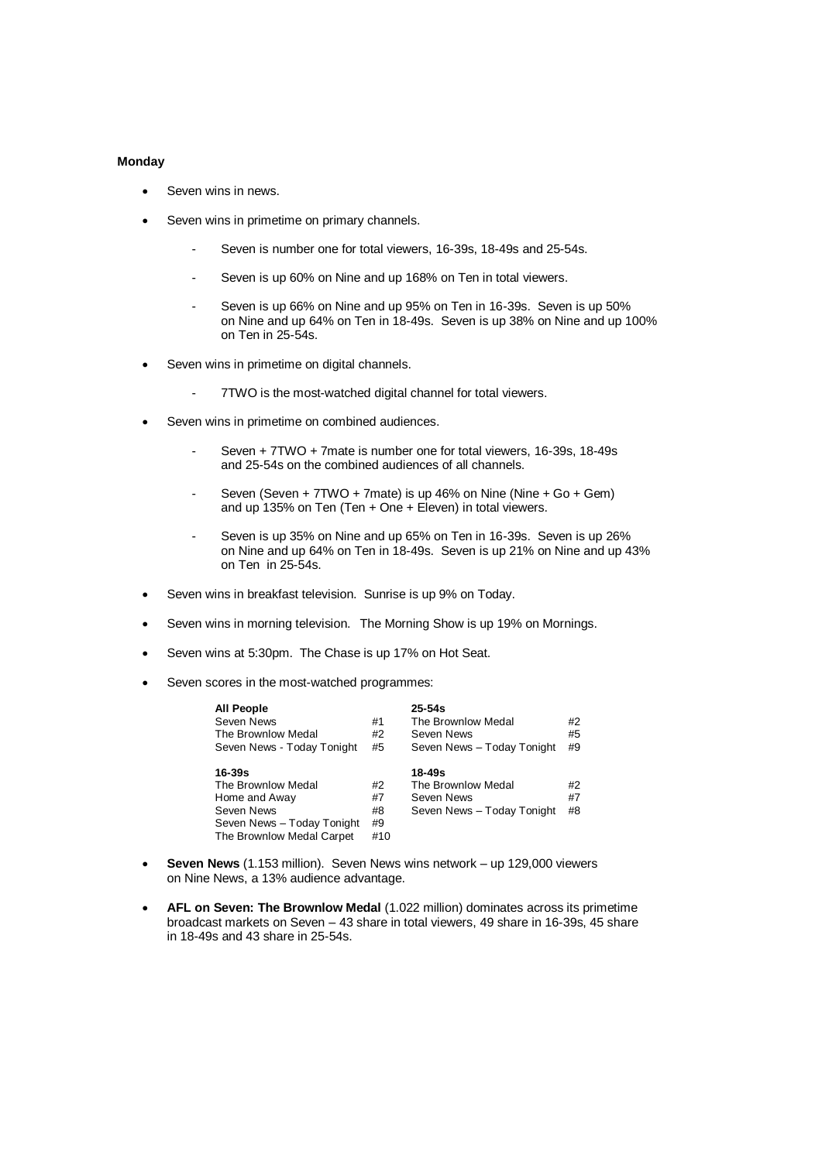#### **Monday**

- Seven wins in news.
- Seven wins in primetime on primary channels.
	- Seven is number one for total viewers, 16-39s, 18-49s and 25-54s.
	- Seven is up 60% on Nine and up 168% on Ten in total viewers.
	- Seven is up 66% on Nine and up 95% on Ten in 16-39s. Seven is up 50% on Nine and up 64% on Ten in 18-49s. Seven is up 38% on Nine and up 100% on Ten in 25-54s.
- Seven wins in primetime on digital channels.
	- 7TWO is the most-watched digital channel for total viewers.
- Seven wins in primetime on combined audiences.
	- Seven + 7TWO + 7mate is number one for total viewers, 16-39s, 18-49s and 25-54s on the combined audiences of all channels.
	- Seven (Seven + 7TWO + 7mate) is up 46% on Nine (Nine + Go + Gem) and up 135% on Ten (Ten + One + Eleven) in total viewers.
	- Seven is up 35% on Nine and up 65% on Ten in 16-39s. Seven is up 26% on Nine and up 64% on Ten in 18-49s. Seven is up 21% on Nine and up 43% on Ten in 25-54s.
- Seven wins in breakfast television. Sunrise is up 9% on Today.
- Seven wins in morning television. The Morning Show is up 19% on Mornings.
- Seven wins at 5:30pm. The Chase is up 17% on Hot Seat.
- Seven scores in the most-watched programmes:

| <b>All People</b>          |     | $25 - 54s$                 |    |
|----------------------------|-----|----------------------------|----|
| Seven News                 | #1  | The Brownlow Medal         | #2 |
| The Brownlow Medal         | #2  | Seven News                 | #5 |
| Seven News - Today Tonight | #5  | Seven News - Today Tonight | #9 |
| $16 - 39s$                 |     | 18-49s                     |    |
| The Brownlow Medal         | #2  | The Brownlow Medal         | #2 |
| Home and Away              | #7  | Seven News                 | #7 |
| Seven News                 | #8  | Seven News - Today Tonight | #8 |
| Seven News - Today Tonight | #9  |                            |    |
| The Brownlow Medal Carpet  | #10 |                            |    |

- **Seven News** (1.153 million). Seven News wins network up 129,000 viewers on Nine News, a 13% audience advantage.
- **AFL on Seven: The Brownlow Medal** (1.022 million) dominates across its primetime broadcast markets on Seven – 43 share in total viewers, 49 share in 16-39s, 45 share in 18-49s and 43 share in 25-54s.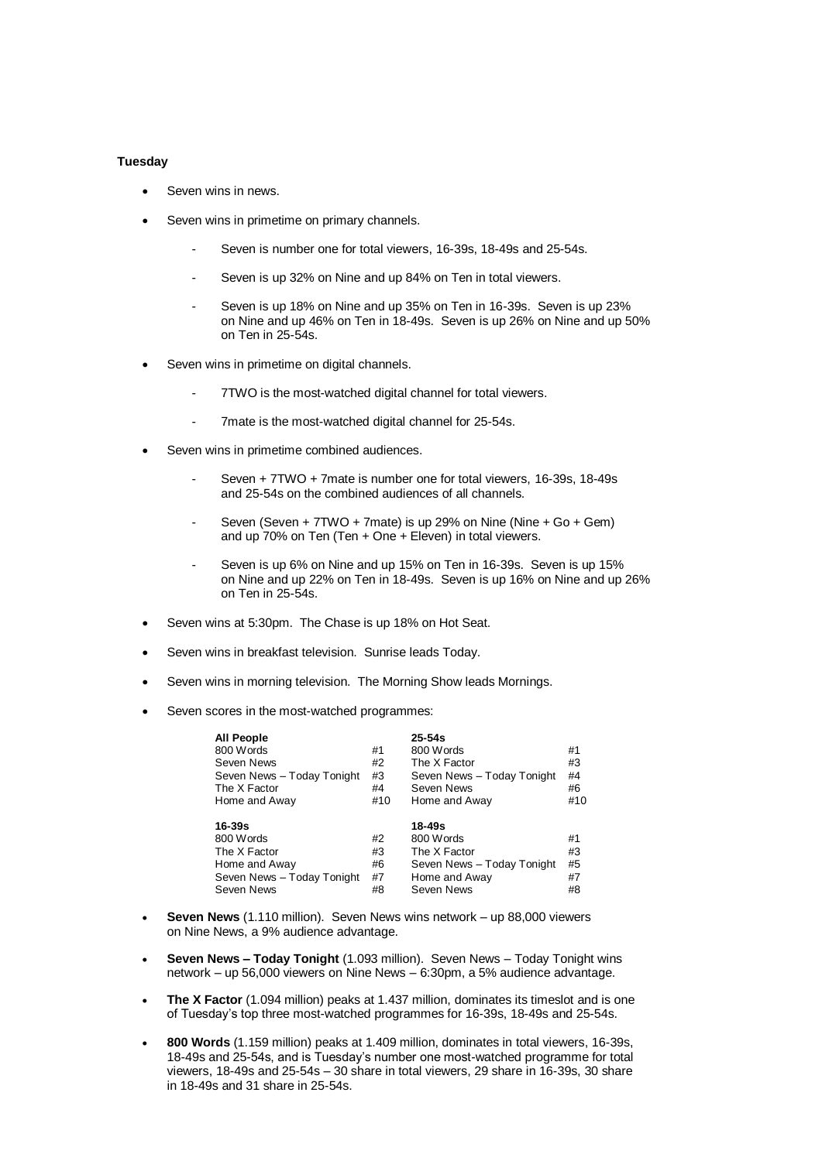#### **Tuesday**

- Seven wins in news.
- Seven wins in primetime on primary channels.
	- Seven is number one for total viewers, 16-39s, 18-49s and 25-54s.
	- Seven is up 32% on Nine and up 84% on Ten in total viewers.
	- Seven is up 18% on Nine and up 35% on Ten in 16-39s. Seven is up 23% on Nine and up 46% on Ten in 18-49s. Seven is up 26% on Nine and up 50% on Ten in 25-54s.
- Seven wins in primetime on digital channels.
	- 7TWO is the most-watched digital channel for total viewers.
	- 7mate is the most-watched digital channel for 25-54s.
- Seven wins in primetime combined audiences.
	- Seven + 7TWO + 7mate is number one for total viewers, 16-39s, 18-49s and 25-54s on the combined audiences of all channels.
	- Seven (Seven + 7TWO + 7mate) is up 29% on Nine (Nine +  $Go + Gem)$ and up 70% on Ten (Ten + One + Eleven) in total viewers.
	- Seven is up 6% on Nine and up 15% on Ten in 16-39s. Seven is up 15% on Nine and up 22% on Ten in 18-49s. Seven is up 16% on Nine and up 26% on Ten in 25-54s.
- Seven wins at 5:30pm. The Chase is up 18% on Hot Seat.
- Seven wins in breakfast television. Sunrise leads Today.
- Seven wins in morning television. The Morning Show leads Mornings.
- Seven scores in the most-watched programmes:

| <b>All People</b><br>800 Words<br>Seven News<br>Seven News - Today Tonight<br>The X Factor<br>Home and Away | #1<br>#2<br>#3<br>#4<br>#10 | $25 - 54s$<br>800 Words<br>The X Factor<br>Seven News - Today Tonight<br>Seven News<br>Home and Away | #1<br>#3<br>#4<br>#6<br>#10 |
|-------------------------------------------------------------------------------------------------------------|-----------------------------|------------------------------------------------------------------------------------------------------|-----------------------------|
| $16 - 39s$<br>800 Words<br>The X Factor<br>Home and Away<br>Seven News - Today Tonight<br>Seven News        | #2<br>#3<br>#6<br>#7<br>#8  | 18-49s<br>800 Words<br>The X Factor<br>Seven News - Today Tonight<br>Home and Away<br>Seven News     | #1<br>#3<br>#5<br>#7<br>#8  |

- **Seven News** (1.110 million). Seven News wins network up 88,000 viewers on Nine News, a 9% audience advantage.
- **Seven News – Today Tonight** (1.093 million). Seven News Today Tonight wins network – up 56,000 viewers on Nine News – 6:30pm, a 5% audience advantage.
- **The X Factor** (1.094 million) peaks at 1.437 million, dominates its timeslot and is one of Tuesday's top three most-watched programmes for 16-39s, 18-49s and 25-54s.
- **800 Words** (1.159 million) peaks at 1.409 million, dominates in total viewers, 16-39s, 18-49s and 25-54s, and is Tuesday's number one most-watched programme for total viewers, 18-49s and 25-54s – 30 share in total viewers, 29 share in 16-39s, 30 share in 18-49s and 31 share in 25-54s.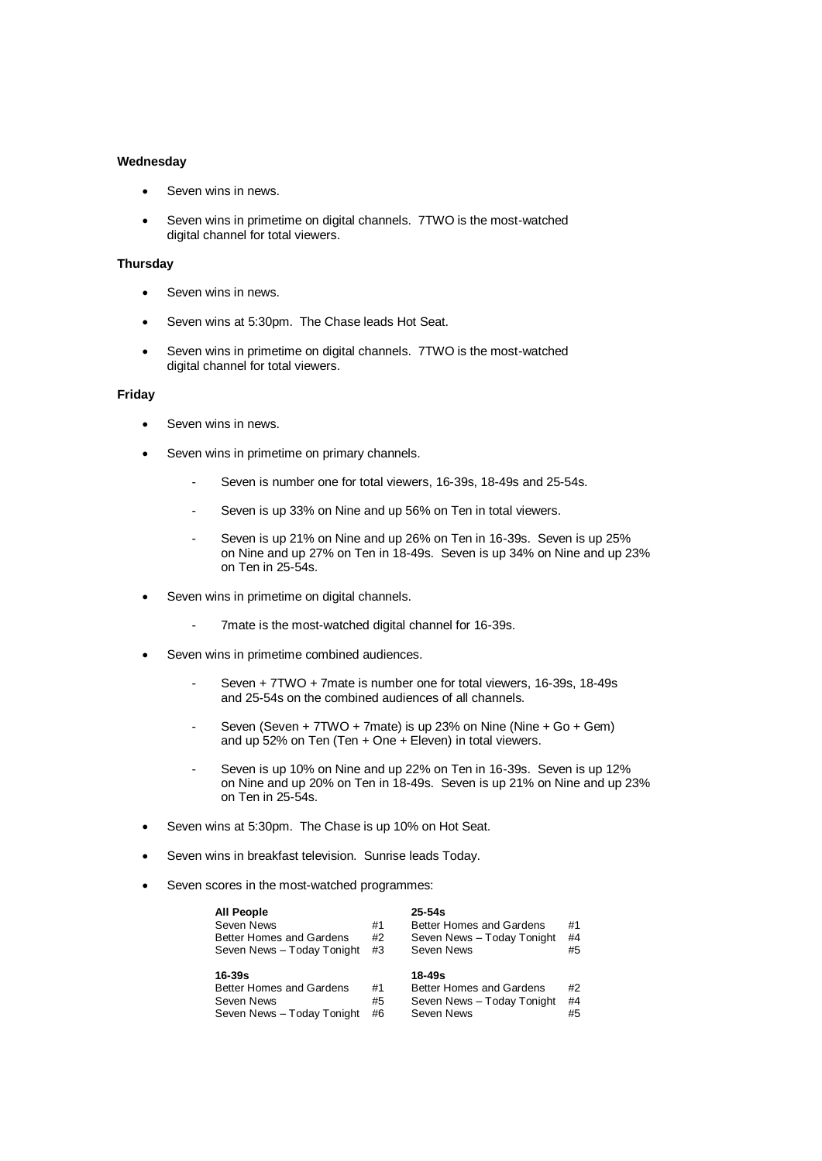#### **Wednesday**

- Seven wins in news.
- Seven wins in primetime on digital channels. 7TWO is the most-watched digital channel for total viewers.

#### **Thursday**

- Seven wins in news.
- Seven wins at 5:30pm. The Chase leads Hot Seat.
- Seven wins in primetime on digital channels. 7TWO is the most-watched digital channel for total viewers.

#### **Friday**

- Seven wins in news.
- Seven wins in primetime on primary channels.
	- Seven is number one for total viewers, 16-39s, 18-49s and 25-54s.
	- Seven is up 33% on Nine and up 56% on Ten in total viewers.
	- Seven is up 21% on Nine and up 26% on Ten in 16-39s. Seven is up 25% on Nine and up 27% on Ten in 18-49s. Seven is up 34% on Nine and up 23% on Ten in 25-54s.
- Seven wins in primetime on digital channels.
	- 7mate is the most-watched digital channel for 16-39s.
- Seven wins in primetime combined audiences.
	- Seven + 7TWO + 7mate is number one for total viewers, 16-39s, 18-49s and 25-54s on the combined audiences of all channels.
	- Seven (Seven + 7TWO + 7mate) is up 23% on Nine (Nine + Go + Gem) and up 52% on Ten (Ten + One + Eleven) in total viewers.
	- Seven is up 10% on Nine and up 22% on Ten in 16-39s. Seven is up 12% on Nine and up 20% on Ten in 18-49s. Seven is up 21% on Nine and up 23% on Ten in 25-54s.
- Seven wins at 5:30pm. The Chase is up 10% on Hot Seat.
- Seven wins in breakfast television. Sunrise leads Today.
- Seven scores in the most-watched programmes:

| <b>All People</b><br>Seven News<br>Better Homes and Gardens<br>Seven News - Today Tonight | #1<br>#2<br>#3 | $25 - 54s$<br>Better Homes and Gardens<br>Seven News - Today Tonight<br>Seven News | #1<br>#4<br>#5 |
|-------------------------------------------------------------------------------------------|----------------|------------------------------------------------------------------------------------|----------------|
| $16 - 39s$<br><b>Better Homes and Gardens</b><br>Seven News<br>Seven News - Today Tonight | #1<br>#5<br>#6 | 18-49s<br>Better Homes and Gardens<br>Seven News - Today Tonight<br>Seven News     | #2<br>#4<br>#5 |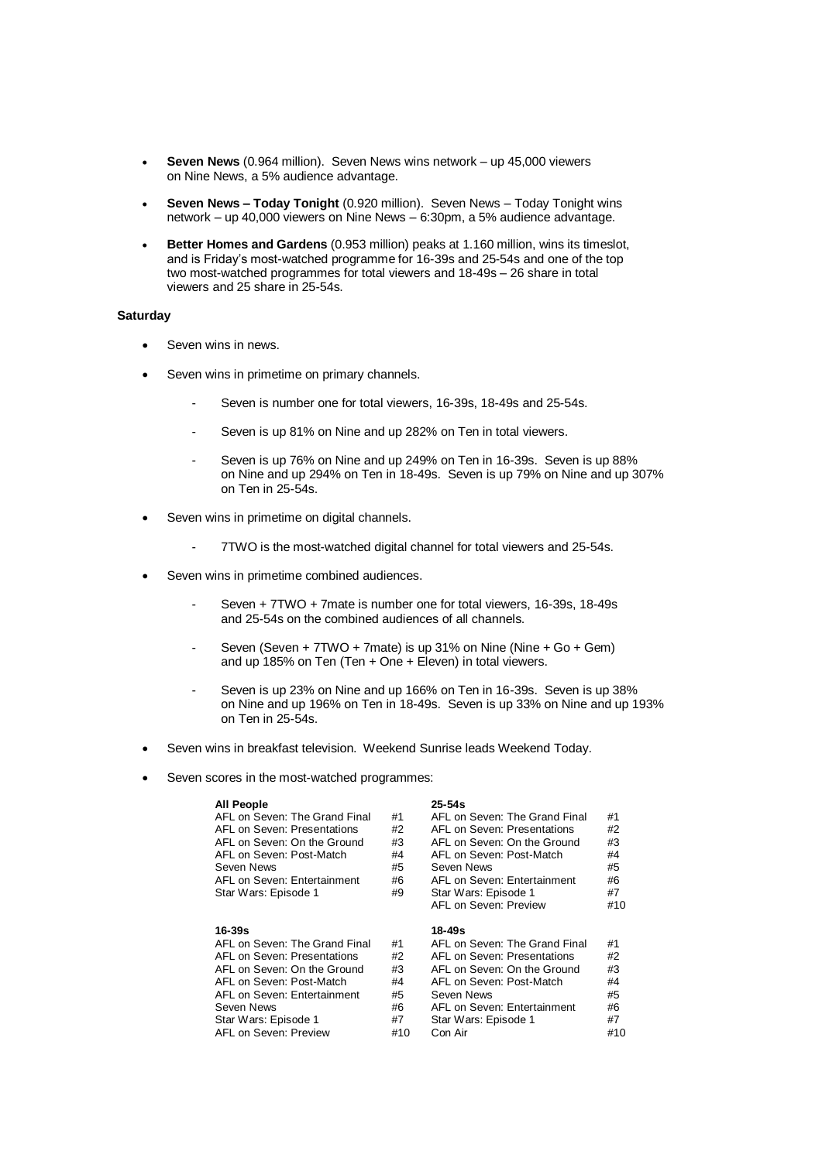- **Seven News** (0.964 million). Seven News wins network up 45,000 viewers on Nine News, a 5% audience advantage.
- **Seven News – Today Tonight** (0.920 million). Seven News Today Tonight wins network – up 40,000 viewers on Nine News – 6:30pm, a 5% audience advantage.
- **Better Homes and Gardens** (0.953 million) peaks at 1.160 million, wins its timeslot, and is Friday's most-watched programme for 16-39s and 25-54s and one of the top two most-watched programmes for total viewers and 18-49s – 26 share in total viewers and 25 share in 25-54s.

#### **Saturday**

- Seven wins in news.
- Seven wins in primetime on primary channels.
	- Seven is number one for total viewers, 16-39s, 18-49s and 25-54s.
	- Seven is up 81% on Nine and up 282% on Ten in total viewers.
	- Seven is up 76% on Nine and up 249% on Ten in 16-39s. Seven is up 88% on Nine and up 294% on Ten in 18-49s. Seven is up 79% on Nine and up 307% on Ten in 25-54s.
- Seven wins in primetime on digital channels.
	- 7TWO is the most-watched digital channel for total viewers and 25-54s.
- Seven wins in primetime combined audiences.
	- Seven + 7TWO + 7mate is number one for total viewers, 16-39s, 18-49s and 25-54s on the combined audiences of all channels.
	- Seven (Seven + 7TWO + 7mate) is up 31% on Nine (Nine + Go + Gem) and up 185% on Ten (Ten + One + Eleven) in total viewers.
	- Seven is up 23% on Nine and up 166% on Ten in 16-39s. Seven is up 38% on Nine and up 196% on Ten in 18-49s. Seven is up 33% on Nine and up 193% on Ten in 25-54s.
- Seven wins in breakfast television. Weekend Sunrise leads Weekend Today.
- Seven scores in the most-watched programmes:

#### **All People 25-54s** AFL on Seven: The Grand Final #1 AFL on Seven: The Grand Final #1<br>AFL on Seven: Presentations #2 AFL on Seven: Presentations #2 AFL on Seven: Presentations  $#2$  AFL on Seven: Presentations  $#2$ <br>AFL on Seven: On the Ground  $#3$  AFL on Seven: On the Ground  $#3$ AFL on Seven: On the Ground #3 AFL on Seven: On the Ground #3<br>AFL on Seven: Post-Match #4 AFL on Seven: Post-Match #4 AFL on Seven: Post-Match  $#4$  AFL on Seven: Post-Match  $#4$ <br>Seven News  $#5$  Seven News  $#5$ Seven News #5 Seven News #5<br>AFL on Seven: Entertainment #6 AFL on Seven: Entertainment #6 AFL on Seven: Entertainment #6 AFL on Seven: Entertainment #6 Star Wars: Episode 1  $#9$  Star Wars: Episode 1  $#7$ <br>AFL on Seven: Preview  $#10$ AFL on Seven: Preview **16-39s 18-49s** AFL on Seven: The Grand Final #1 AFL on Seven: The Grand Final #1 AFL on Seven: Presentations

| AFL on Seven: The Grand Final | #1  | AFL on Seven: The Grand Final | #1  |
|-------------------------------|-----|-------------------------------|-----|
| AFL on Seven: Presentations   | #2  | AFL on Seven: Presentations   | #2  |
| AFL on Seven: On the Ground   | #3  | AFL on Seven: On the Ground   | #3  |
| AFL on Seven: Post-Match      | #4  | AFL on Seven: Post-Match      | #4  |
| AFL on Seven: Entertainment   | #5  | Seven News                    | #5  |
| Seven News                    | #6  | AFL on Seven: Entertainment   | #6  |
| Star Wars: Episode 1          | #7  | Star Wars: Episode 1          | #7  |
| AFL on Seven: Preview         | #10 | Con Air                       | #10 |
|                               |     |                               |     |